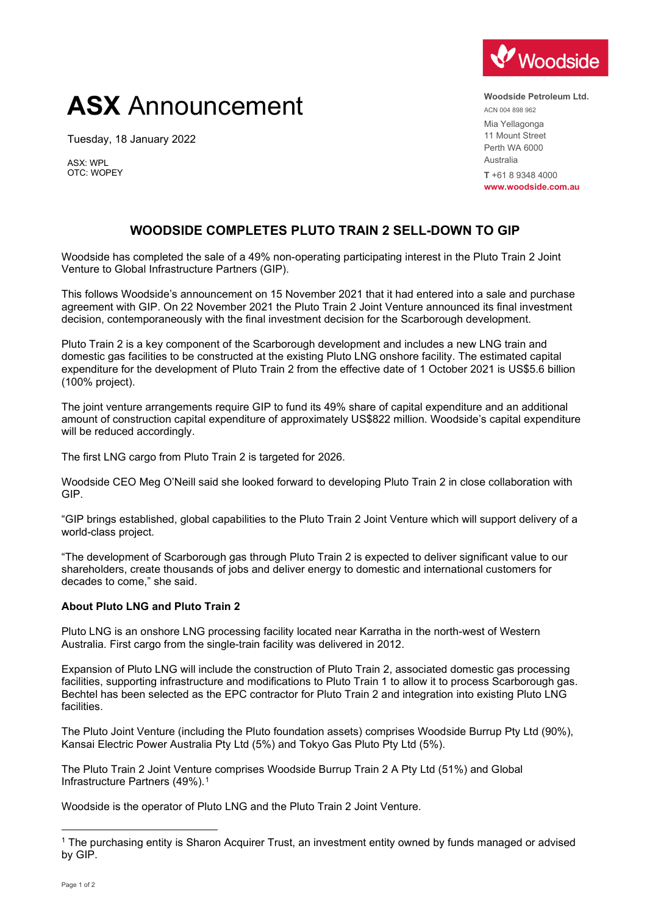# **ASX** Announcement

Tuesday, 18 January 2022

ASX: WPL OTC: WOPEY



**Woodside Petroleum Ltd.** ACN 004 898 962 Mia Yellagonga 11 Mount Street Perth WA 6000 Australia **T** +61 8 9348 4000 **www.woodside.com.au**

# **WOODSIDE COMPLETES PLUTO TRAIN 2 SELL-DOWN TO GIP**

Woodside has completed the sale of a 49% non-operating participating interest in the Pluto Train 2 Joint Venture to Global Infrastructure Partners (GIP).

This follows Woodside's announcement on 15 November 2021 that it had entered into a sale and purchase agreement with GIP. On 22 November 2021 the Pluto Train 2 Joint Venture announced its final investment decision, contemporaneously with the final investment decision for the Scarborough development.

Pluto Train 2 is a key component of the Scarborough development and includes a new LNG train and domestic gas facilities to be constructed at the existing Pluto LNG onshore facility. The estimated capital expenditure for the development of Pluto Train 2 from the effective date of 1 October 2021 is US\$5.6 billion (100% project).

The joint venture arrangements require GIP to fund its 49% share of capital expenditure and an additional amount of construction capital expenditure of approximately US\$822 million. Woodside's capital expenditure will be reduced accordingly.

The first LNG cargo from Pluto Train 2 is targeted for 2026.

Woodside CEO Meg O'Neill said she looked forward to developing Pluto Train 2 in close collaboration with GIP.

"GIP brings established, global capabilities to the Pluto Train 2 Joint Venture which will support delivery of a world-class project.

"The development of Scarborough gas through Pluto Train 2 is expected to deliver significant value to our shareholders, create thousands of jobs and deliver energy to domestic and international customers for decades to come," she said.

## **About Pluto LNG and Pluto Train 2**

Pluto LNG is an onshore LNG processing facility located near Karratha in the north-west of Western Australia. First cargo from the single-train facility was delivered in 2012.

Expansion of Pluto LNG will include the construction of Pluto Train 2, associated domestic gas processing facilities, supporting infrastructure and modifications to Pluto Train 1 to allow it to process Scarborough gas. Bechtel has been selected as the EPC contractor for Pluto Train 2 and integration into existing Pluto LNG facilities.

The Pluto Joint Venture (including the Pluto foundation assets) comprises Woodside Burrup Pty Ltd (90%), Kansai Electric Power Australia Pty Ltd (5%) and Tokyo Gas Pluto Pty Ltd (5%).

The Pluto Train 2 Joint Venture comprises Woodside Burrup Train 2 A Pty Ltd (51%) and Global Infrastructure Partners (49%).<sup>[1](#page-0-0)</sup>

Woodside is the operator of Pluto LNG and the Pluto Train 2 Joint Venture.

<span id="page-0-0"></span><sup>1</sup> The purchasing entity is Sharon Acquirer Trust, an investment entity owned by funds managed or advised by GIP.